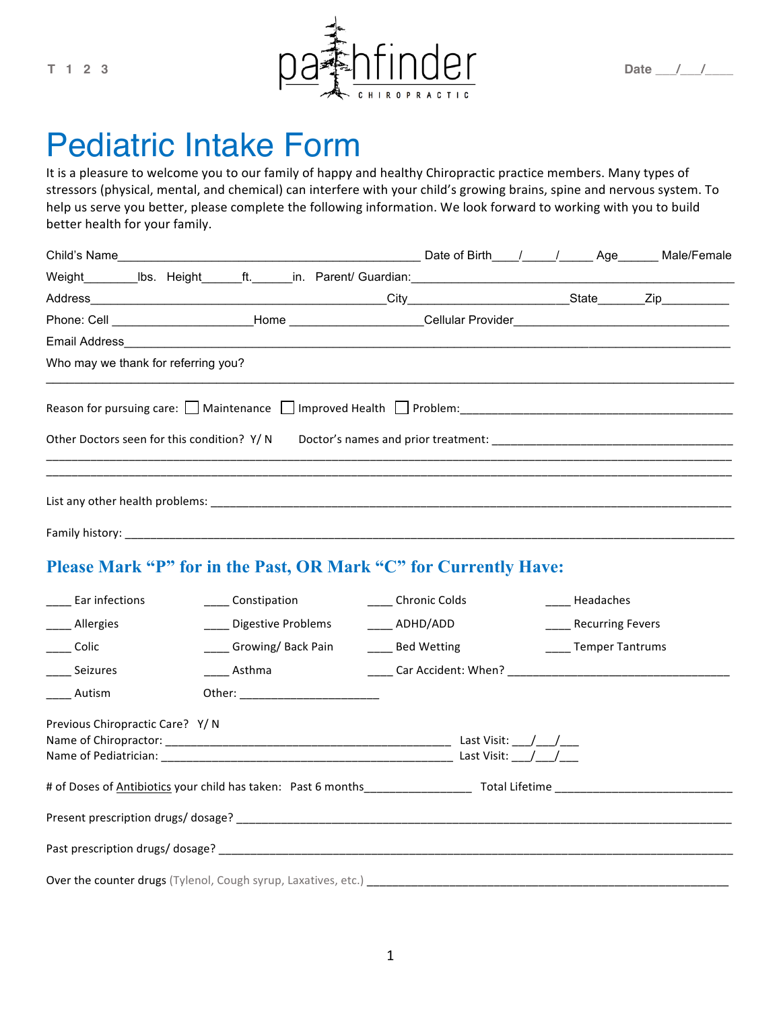

# Pediatric Intake Form

It is a pleasure to welcome you to our family of happy and healthy Chiropractic practice members. Many types of stressors (physical, mental, and chemical) can interfere with your child's growing brains, spine and nervous system. To help us serve you better, please complete the following information. We look forward to working with you to build better health for your family.

|                                                                                                                | Date of Birth_____/______/_______ Age_______ Male/Female |  |  |  |
|----------------------------------------------------------------------------------------------------------------|----------------------------------------------------------|--|--|--|
|                                                                                                                |                                                          |  |  |  |
|                                                                                                                |                                                          |  |  |  |
| Phone: Cell _________________________Home ______________________Cellular Provider_____________________________ |                                                          |  |  |  |
|                                                                                                                |                                                          |  |  |  |
| Who may we thank for referring you?                                                                            |                                                          |  |  |  |
| Reason for pursuing care: Maintenance Improved Health Problem:<br>Maintenance Improved Health Problem:         |                                                          |  |  |  |
| Family history: _____________                                                                                  |                                                          |  |  |  |

#### **Please Mark "P" for in the Past, OR Mark "C" for Currently Have:**

| ______ Ear infections           | ____ Constipation                                                     | _____ Chronic Colds |                                      | Headaches             |
|---------------------------------|-----------------------------------------------------------------------|---------------------|--------------------------------------|-----------------------|
| ____ Allergies                  | Digestive Problems                                                    | _____ ADHD/ADD      |                                      | ____ Recurring Fevers |
| _____ Colic                     | Growing/Back Pain                                                     | ____ Bed Wetting    |                                      | _____ Temper Tantrums |
| _____ Seizures                  | Asthma                                                                |                     |                                      |                       |
| Autism                          |                                                                       |                     |                                      |                       |
| Previous Chiropractic Care? Y/N |                                                                       |                     | Last Visit: $/$ /<br>Last Visit: / / |                       |
|                                 |                                                                       |                     |                                      |                       |
|                                 |                                                                       |                     |                                      |                       |
|                                 |                                                                       |                     |                                      |                       |
|                                 | <b>Over the counter drugs</b> (Tylenol, Cough syrup, Laxatives, etc.) |                     |                                      |                       |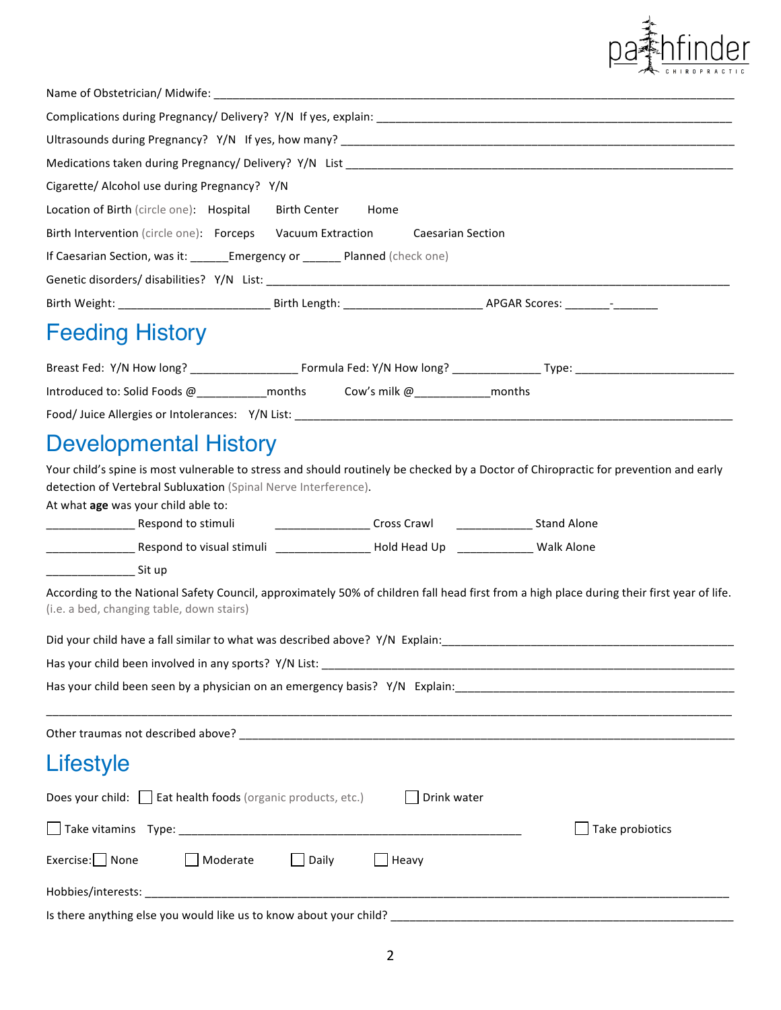

| Cigarette/ Alcohol use during Pregnancy? Y/N                                                                                                                                                                                                   |
|------------------------------------------------------------------------------------------------------------------------------------------------------------------------------------------------------------------------------------------------|
| Location of Birth (circle one): Hospital Birth Center Home                                                                                                                                                                                     |
| Birth Intervention (circle one): Forceps Vacuum Extraction Caesarian Section                                                                                                                                                                   |
| If Caesarian Section, was it: ______Emergency or _______ Planned (check one)                                                                                                                                                                   |
|                                                                                                                                                                                                                                                |
|                                                                                                                                                                                                                                                |
| <b>Feeding History</b>                                                                                                                                                                                                                         |
|                                                                                                                                                                                                                                                |
| Introduced to: Solid Foods @____________months Cow's milk @______________months                                                                                                                                                                |
|                                                                                                                                                                                                                                                |
| <b>Developmental History</b>                                                                                                                                                                                                                   |
| Your child's spine is most vulnerable to stress and should routinely be checked by a Doctor of Chiropractic for prevention and early<br>detection of Vertebral Subluxation (Spinal Nerve Interference).<br>At what age was your child able to: |
|                                                                                                                                                                                                                                                |
|                                                                                                                                                                                                                                                |
| _____________________ Sit up                                                                                                                                                                                                                   |
| According to the National Safety Council, approximately 50% of children fall head first from a high place during their first year of life.<br>(i.e. a bed, changing table, down stairs)                                                        |
| Did your child have a fall similar to what was described above? Y/N Explain:                                                                                                                                                                   |
|                                                                                                                                                                                                                                                |
|                                                                                                                                                                                                                                                |
|                                                                                                                                                                                                                                                |
| Lifestyle                                                                                                                                                                                                                                      |
| Does your child: Eat health foods (organic products, etc.)<br>Drink water                                                                                                                                                                      |
| Take probiotics                                                                                                                                                                                                                                |
| $Exercise:$ None<br>Moderate<br>Daily<br>$H$ eavy<br>$\Box$                                                                                                                                                                                    |
|                                                                                                                                                                                                                                                |

Is there anything else you would like us to know about your child? \_\_\_\_\_\_\_\_\_\_\_\_\_\_\_\_\_\_\_\_\_\_\_\_\_\_\_\_\_\_\_\_\_\_\_\_\_\_\_\_\_\_\_\_\_\_\_\_\_\_\_\_\_\_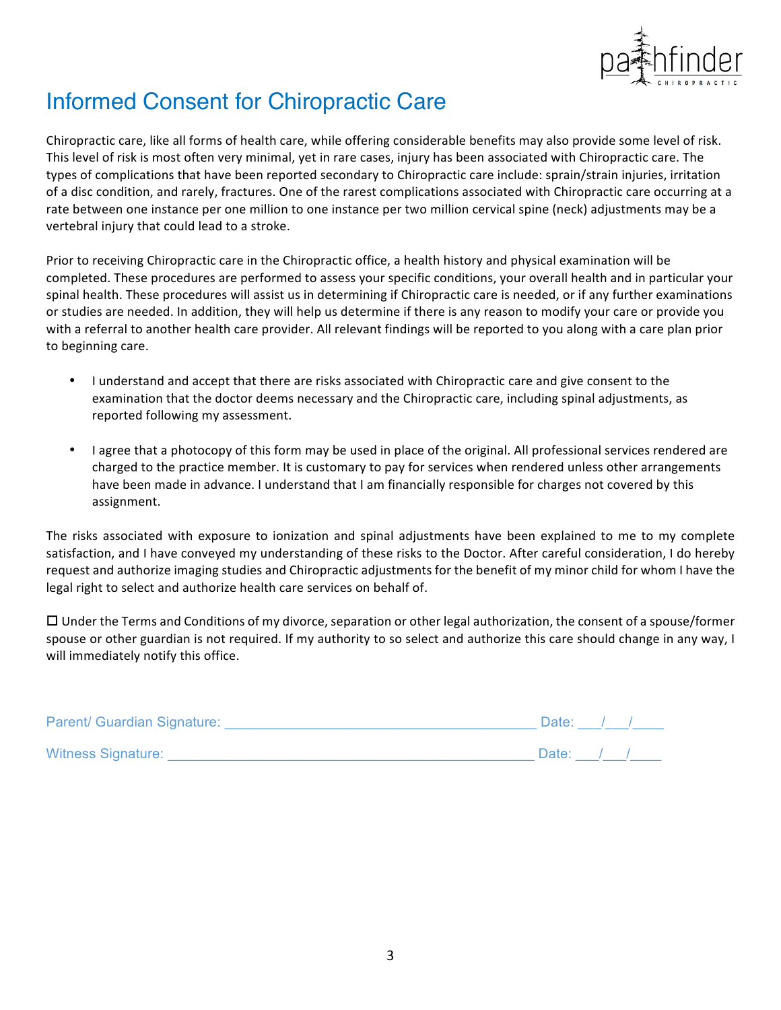

## Informed Consent for Chiropractic Care

Chiropractic care, like all forms of health care, while offering considerable benefits may also provide some level of risk. This level of risk is most often very minimal, yet in rare cases, injury has been associated with Chiropractic care. The types of complications that have been reported secondary to Chiropractic care include: sprain/strain injuries, irritation of a disc condition, and rarely, fractures. One of the rarest complications associated with Chiropractic care occurring at a rate between one instance per one million to one instance per two million cervical spine (neck) adjustments may be a vertebral injury that could lead to a stroke.

Prior to receiving Chiropractic care in the Chiropractic office, a health history and physical examination will be completed. These procedures are performed to assess your specific conditions, your overall health and in particular your spinal health. These procedures will assist us in determining if Chiropractic care is needed, or if any further examinations or studies are needed. In addition, they will help us determine if there is any reason to modify your care or provide you with a referral to another health care provider. All relevant findings will be reported to you along with a care plan prior to beginning care.

- I understand and accept that there are risks associated with Chiropractic care and give consent to the examination that the doctor deems necessary and the Chiropractic care, including spinal adjustments, as reported following my assessment.
- I agree that a photocopy of this form may be used in place of the original. All professional services rendered are charged to the practice member. It is customary to pay for services when rendered unless other arrangements have been made in advance. I understand that I am financially responsible for charges not covered by this assignment.

The risks associated with exposure to ionization and spinal adjustments have been explained to me to my complete satisfaction, and I have conveyed my understanding of these risks to the Doctor. After careful consideration, I do hereby request and authorize imaging studies and Chiropractic adjustments for the benefit of my minor child for whom I have the legal right to select and authorize health care services on behalf of.

 $\Box$  Under the Terms and Conditions of my divorce, separation or other legal authorization, the consent of a spouse/former spouse or other guardian is not required. If my authority to so select and authorize this care should change in any way, I will immediately notify this office.

| <b>Parent/ Guardian Signature:</b> | Date:       |  |  |
|------------------------------------|-------------|--|--|
| <b>Witness Signature:</b>          | Date: $/$ / |  |  |